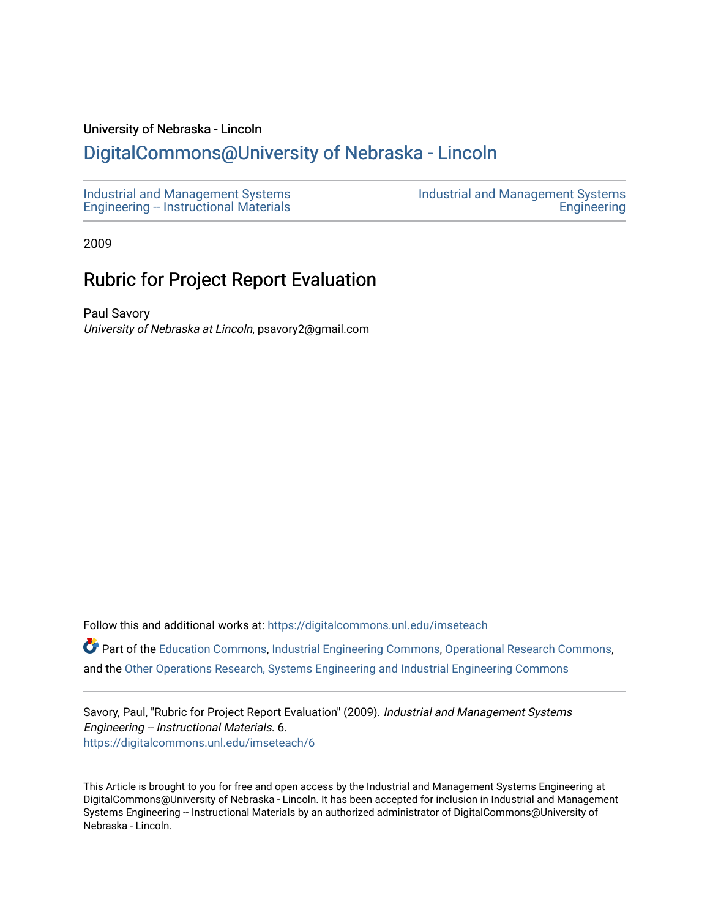## University of Nebraska - Lincoln

## [DigitalCommons@University of Nebraska - Lincoln](https://digitalcommons.unl.edu/)

| Industrial and Management Systems            | Industrial and Management Systems |
|----------------------------------------------|-----------------------------------|
| <b>Engineering - Instructional Materials</b> | Engineering                       |

2009

## Rubric for Project Report Evaluation

Paul Savory University of Nebraska at Lincoln, psavory2@gmail.com

Follow this and additional works at: [https://digitalcommons.unl.edu/imseteach](https://digitalcommons.unl.edu/imseteach?utm_source=digitalcommons.unl.edu%2Fimseteach%2F6&utm_medium=PDF&utm_campaign=PDFCoverPages) 

Part of the [Education Commons](http://network.bepress.com/hgg/discipline/784?utm_source=digitalcommons.unl.edu%2Fimseteach%2F6&utm_medium=PDF&utm_campaign=PDFCoverPages), [Industrial Engineering Commons](http://network.bepress.com/hgg/discipline/307?utm_source=digitalcommons.unl.edu%2Fimseteach%2F6&utm_medium=PDF&utm_campaign=PDFCoverPages), [Operational Research Commons,](http://network.bepress.com/hgg/discipline/308?utm_source=digitalcommons.unl.edu%2Fimseteach%2F6&utm_medium=PDF&utm_campaign=PDFCoverPages) and the [Other Operations Research, Systems Engineering and Industrial Engineering Commons](http://network.bepress.com/hgg/discipline/310?utm_source=digitalcommons.unl.edu%2Fimseteach%2F6&utm_medium=PDF&utm_campaign=PDFCoverPages) 

Savory, Paul, "Rubric for Project Report Evaluation" (2009). Industrial and Management Systems Engineering -- Instructional Materials. 6. [https://digitalcommons.unl.edu/imseteach/6](https://digitalcommons.unl.edu/imseteach/6?utm_source=digitalcommons.unl.edu%2Fimseteach%2F6&utm_medium=PDF&utm_campaign=PDFCoverPages) 

This Article is brought to you for free and open access by the Industrial and Management Systems Engineering at DigitalCommons@University of Nebraska - Lincoln. It has been accepted for inclusion in Industrial and Management Systems Engineering -- Instructional Materials by an authorized administrator of DigitalCommons@University of Nebraska - Lincoln.